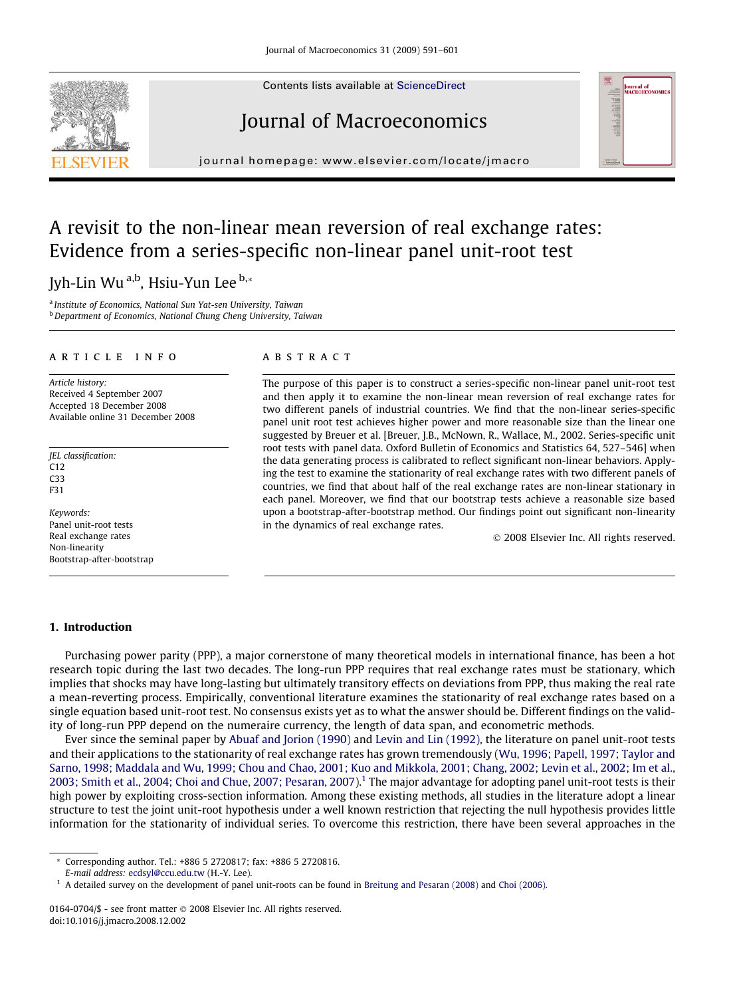Contents lists available at [ScienceDirect](http://www.sciencedirect.com/science/journal/01640704)

# Journal of Macroeconomics



## A revisit to the non-linear mean reversion of real exchange rates: Evidence from a series-specific non-linear panel unit-root test

### Jyh-Lin Wu a,b, Hsiu-Yun Lee b,\*

<sup>a</sup> Institute of Economics, National Sun Yat-sen University, Taiwan **b** Department of Economics, National Chung Cheng University, Taiwan

#### article info

Article history: Received 4 September 2007 Accepted 18 December 2008 Available online 31 December 2008

JEL classification: C12 C33 F31

Keywords: Panel unit-root tests Real exchange rates Non-linearity Bootstrap-after-bootstrap

#### A B S T R A C T

The purpose of this paper is to construct a series-specific non-linear panel unit-root test and then apply it to examine the non-linear mean reversion of real exchange rates for two different panels of industrial countries. We find that the non-linear series-specific panel unit root test achieves higher power and more reasonable size than the linear one suggested by Breuer et al. [Breuer, J.B., McNown, R., Wallace, M., 2002. Series-specific unit root tests with panel data. Oxford Bulletin of Economics and Statistics 64, 527–546] when the data generating process is calibrated to reflect significant non-linear behaviors. Applying the test to examine the stationarity of real exchange rates with two different panels of countries, we find that about half of the real exchange rates are non-linear stationary in each panel. Moreover, we find that our bootstrap tests achieve a reasonable size based upon a bootstrap-after-bootstrap method. Our findings point out significant non-linearity in the dynamics of real exchange rates.

- 2008 Elsevier Inc. All rights reserved.

nal of<br>ROECONOM

#### 1. Introduction

Purchasing power parity (PPP), a major cornerstone of many theoretical models in international finance, has been a hot research topic during the last two decades. The long-run PPP requires that real exchange rates must be stationary, which implies that shocks may have long-lasting but ultimately transitory effects on deviations from PPP, thus making the real rate a mean-reverting process. Empirically, conventional literature examines the stationarity of real exchange rates based on a single equation based unit-root test. No consensus exists yet as to what the answer should be. Different findings on the validity of long-run PPP depend on the numeraire currency, the length of data span, and econometric methods.

Ever since the seminal paper by [Abuaf and Jorion \(1990\)](#page--1-0) and [Levin and Lin \(1992\),](#page--1-0) the literature on panel unit-root tests and their applications to the stationarity of real exchange rates has grown tremendously ([Wu, 1996; Papell, 1997; Taylor and](#page--1-0) [Sarno, 1998; Maddala and Wu, 1999; Chou and Chao, 2001; Kuo and Mikkola, 2001; Chang, 2002; Levin et al., 2002; Im et al.,](#page--1-0) [2003; Smith et al., 2004; Choi and Chue, 2007; Pesaran, 2007\)](#page--1-0).<sup>1</sup> The major advantage for adopting panel unit-root tests is their high power by exploiting cross-section information. Among these existing methods, all studies in the literature adopt a linear structure to test the joint unit-root hypothesis under a well known restriction that rejecting the null hypothesis provides little information for the stationarity of individual series. To overcome this restriction, there have been several approaches in the



<sup>\*</sup> Corresponding author. Tel.: +886 5 2720817; fax: +886 5 2720816.

E-mail address: [ecdsyl@ccu.edu.tw](mailto:ecdsyl@ccu.edu.tw) (H.-Y. Lee).

<sup>&</sup>lt;sup>1</sup> A detailed survey on the development of panel unit-roots can be found in [Breitung and Pesaran \(2008\)](#page--1-0) and [Choi \(2006\)](#page--1-0).

<sup>0164-0704/\$ -</sup> see front matter © 2008 Elsevier Inc. All rights reserved. doi:10.1016/j.jmacro.2008.12.002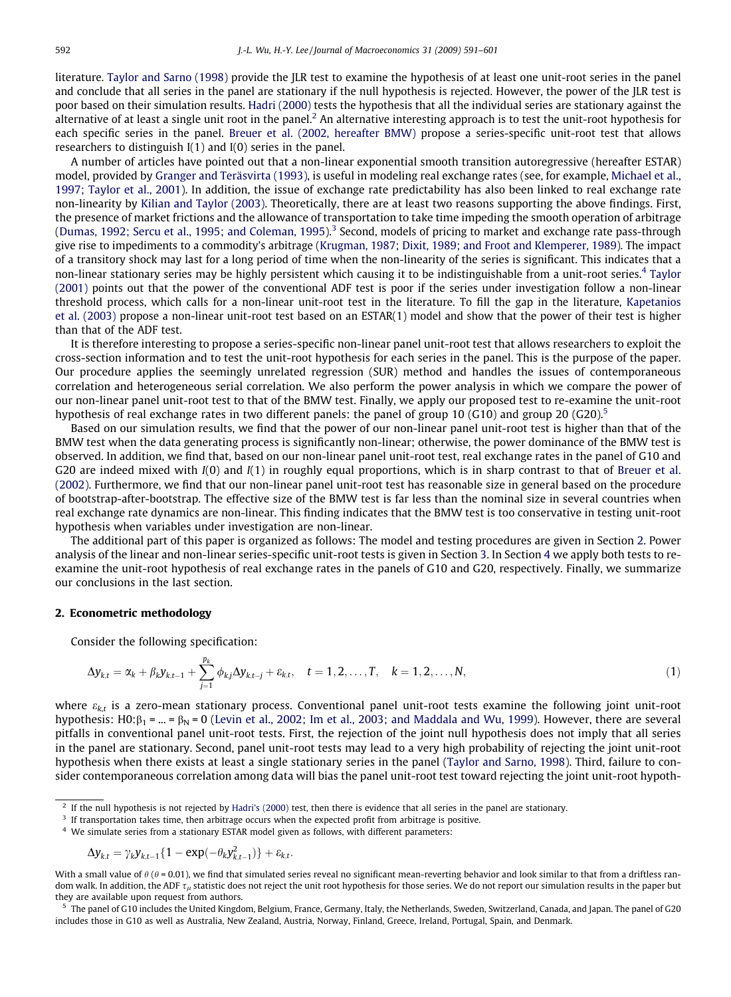literature. [Taylor and Sarno \(1998\)](#page--1-0) provide the JLR test to examine the hypothesis of at least one unit-root series in the panel and conclude that all series in the panel are stationary if the null hypothesis is rejected. However, the power of the JLR test is poor based on their simulation results. [Hadri \(2000\)](#page--1-0) tests the hypothesis that all the individual series are stationary against the alternative of at least a single unit root in the panel.<sup>2</sup> An alternative interesting approach is to test the unit-root hypothesis for each specific series in the panel. [Breuer et al. \(2002, hereafter BMW\)](#page--1-0) propose a series-specific unit-root test that allows researchers to distinguish I(1) and I(0) series in the panel.

A number of articles have pointed out that a non-linear exponential smooth transition autoregressive (hereafter ESTAR) model, provided by [Granger and Teräsvirta \(1993\),](#page--1-0) is useful in modeling real exchange rates (see, for example, [Michael et al.,](#page--1-0) [1997; Taylor et al., 2001\)](#page--1-0). In addition, the issue of exchange rate predictability has also been linked to real exchange rate non-linearity by [Kilian and Taylor \(2003\)](#page--1-0). Theoretically, there are at least two reasons supporting the above findings. First, the presence of market frictions and the allowance of transportation to take time impeding the smooth operation of arbitrage [\(Dumas, 1992; Sercu et al., 1995; and Coleman, 1995](#page--1-0)).<sup>3</sup> Second, models of pricing to market and exchange rate pass-through give rise to impediments to a commodity's arbitrage [\(Krugman, 1987; Dixit, 1989; and Froot and Klemperer, 1989](#page--1-0)). The impact of a transitory shock may last for a long period of time when the non-linearity of the series is significant. This indicates that a non-linear stationary series may be highly persistent which causing it to be indistinguishable from a unit-root series.<sup>4</sup> [Taylor](#page--1-0) [\(2001\)](#page--1-0) points out that the power of the conventional ADF test is poor if the series under investigation follow a non-linear threshold process, which calls for a non-linear unit-root test in the literature. To fill the gap in the literature, [Kapetanios](#page--1-0) [et al. \(2003\)](#page--1-0) propose a non-linear unit-root test based on an ESTAR(1) model and show that the power of their test is higher than that of the ADF test.

It is therefore interesting to propose a series-specific non-linear panel unit-root test that allows researchers to exploit the cross-section information and to test the unit-root hypothesis for each series in the panel. This is the purpose of the paper. Our procedure applies the seemingly unrelated regression (SUR) method and handles the issues of contemporaneous correlation and heterogeneous serial correlation. We also perform the power analysis in which we compare the power of our non-linear panel unit-root test to that of the BMW test. Finally, we apply our proposed test to re-examine the unit-root hypothesis of real exchange rates in two different panels: the panel of group 10 (G10) and group 20 (G20).<sup>5</sup>

Based on our simulation results, we find that the power of our non-linear panel unit-root test is higher than that of the BMW test when the data generating process is significantly non-linear; otherwise, the power dominance of the BMW test is observed. In addition, we find that, based on our non-linear panel unit-root test, real exchange rates in the panel of G10 and G20 are indeed mixed with  $I(0)$  and  $I(1)$  in roughly equal proportions, which is in sharp contrast to that of [Breuer et al.](#page--1-0) [\(2002\)](#page--1-0). Furthermore, we find that our non-linear panel unit-root test has reasonable size in general based on the procedure of bootstrap-after-bootstrap. The effective size of the BMW test is far less than the nominal size in several countries when real exchange rate dynamics are non-linear. This finding indicates that the BMW test is too conservative in testing unit-root hypothesis when variables under investigation are non-linear.

The additional part of this paper is organized as follows: The model and testing procedures are given in Section 2. Power analysis of the linear and non-linear series-specific unit-root tests is given in Section 3. In Section 4 we apply both tests to reexamine the unit-root hypothesis of real exchange rates in the panels of G10 and G20, respectively. Finally, we summarize our conclusions in the last section.

#### 2. Econometric methodology

Consider the following specification:

$$
\Delta y_{k,t} = \alpha_k + \beta_k y_{k,t-1} + \sum_{j=1}^{p_k} \phi_{kj} \Delta y_{k,t-j} + \varepsilon_{k,t}, \quad t = 1, 2, ..., T, \quad k = 1, 2, ..., N,
$$
\n(1)

where  $\varepsilon_{k,t}$  is a zero-mean stationary process. Conventional panel unit-root tests examine the following joint unit-root hypothesis: H0: $\beta_1$  = ... =  $\beta_N$  = 0 [\(Levin et al., 2002; Im et al., 2003; and Maddala and Wu, 1999](#page--1-0)). However, there are several pitfalls in conventional panel unit-root tests. First, the rejection of the joint null hypothesis does not imply that all series in the panel are stationary. Second, panel unit-root tests may lead to a very high probability of rejecting the joint unit-root hypothesis when there exists at least a single stationary series in the panel [\(Taylor and Sarno, 1998](#page--1-0)). Third, failure to consider contemporaneous correlation among data will bias the panel unit-root test toward rejecting the joint unit-root hypoth-

$$
\Delta y_{k,t} = \gamma_k y_{k,t-1} \{ 1 - \exp(-\theta_k y_{k,t-1}^2) \} + \varepsilon_{k,t}.
$$

With a small value of  $\theta$  ( $\theta$  = 0.01), we find that simulated series reveal no significant mean-reverting behavior and look similar to that from a driftless random walk. In addition, the ADF  $\tau_{\mu}$  statistic does not reject the unit root hypothesis for those series. We do not report our simulation results in the paper but they are available upon request from authors.

<sup>5</sup> The panel of G10 includes the United Kingdom, Belgium, France, Germany, Italy, the Netherlands, Sweden, Switzerland, Canada, and Japan. The panel of G20 includes those in G10 as well as Australia, New Zealand, Austria, Norway, Finland, Greece, Ireland, Portugal, Spain, and Denmark.

<sup>&</sup>lt;sup>2</sup> If the null hypothesis is not rejected by [Hadri's \(2000\)](#page--1-0) test, then there is evidence that all series in the panel are stationary.

 $3$  If transportation takes time, then arbitrage occurs when the expected profit from arbitrage is positive.

<sup>4</sup> We simulate series from a stationary ESTAR model given as follows, with different parameters: